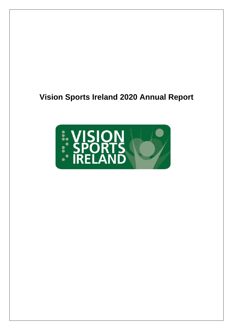## **Vision Sports Ireland 2020 Annual Report**

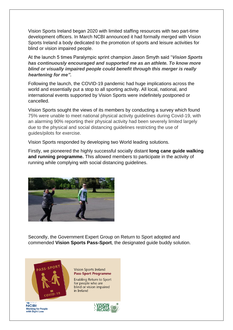Vision Sports Ireland began 2020 with limited staffing resources with two part-time development officers. In March NCBI announced it had formally merged with Vision Sports Ireland a body dedicated to the promotion of sports and leisure activities for blind or vision impaired people.

At the launch 5 times Paralympic sprint champion Jason Smyth said "*Vision Sports has continuously encouraged and supported me as an athlete. To know more blind or visually impaired people could benefit through this merger is really heartening for me".*

Following the launch, the COVID-19 pandemic had huge implications across the world and essentially put a stop to all sporting activity. All local, national, and international events supported by Vision Sports were indefinitely postponed or cancelled.

Vision Sports sought the views of its members by conducting a survey which found 75% were unable to meet national physical activity guidelines during Covid-19, with an alarming 90% reporting their physical activity had been severely limited largely due to the physical and social distancing guidelines restricting the use of guides/pilots for exercise.

Vision Sports responded by developing two World leading solutions.

Firstly, we pioneered the highly successful socially distant **long cane guide walking and running programme.** This allowed members to participate in the activity of running while complying with social distancing guidelines.



Secondly, the Government Expert Group on Return to Sport adopted and commended **Vision Sports Pass-Sport**, the designated guide buddy solution.



**NCBI Working for People<br>with Sight Loss** 



**Enabling Return to Sport** for people who are blind or vision impaired in Ireland

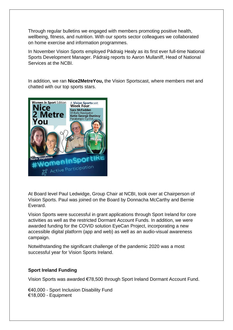Through regular bulletins we engaged with members promoting positive health, wellbeing, fitness, and nutrition. With our sports sector colleagues we collaborated on home exercise and information programmes.

In November Vision Sports employed Pádraig Healy as its first ever full-time National Sports Development Manager. Pádraig reports to Aaron Mullaniff, Head of National Services at the NCBI.

In addition, we ran **Nice2MetreYou,** the Vision Sportscast, where members met and chatted with our top sports stars.



At Board level Paul Ledwidge, Group Chair at NCBI, took over at Chairperson of Vision Sports. Paul was joined on the Board by Donnacha McCarthy and Bernie Everard.

Vision Sports were successful in grant applications through Sport Ireland for core activities as well as the restricted Dormant Account Funds. In addition, we were awarded funding for the COVID solution EyeCan Project, incorporating a new accessible digital platform (app and web) as well as an audio-visual awareness campaign.

Notwithstanding the significant challenge of the pandemic 2020 was a most successful year for Vision Sports Ireland.

## **Sport Ireland Funding**

Vision Sports was awarded €78,500 through Sport Ireland Dormant Account Fund.

€40,000 - Sport Inclusion Disability Fund €18,000 - Equipment